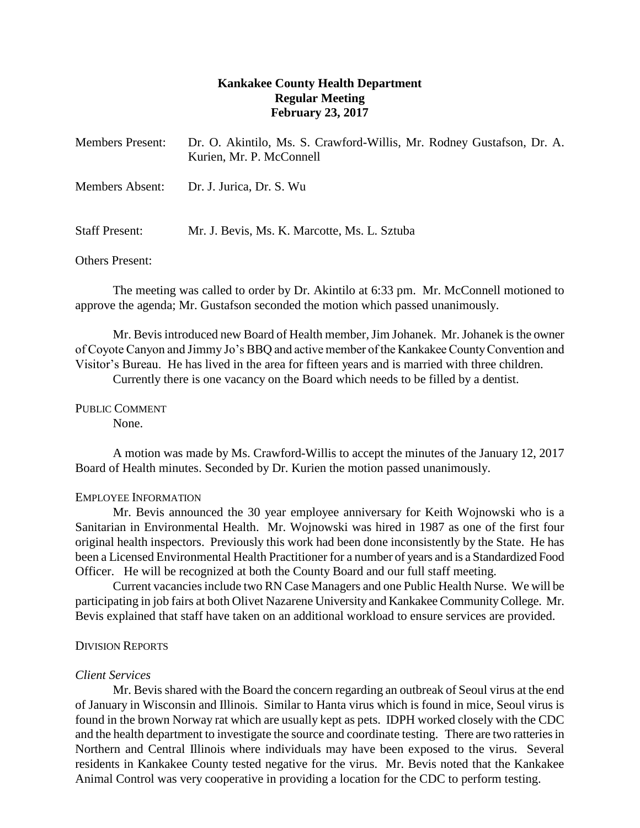# **Kankakee County Health Department Regular Meeting February 23, 2017**

| <b>Members Present:</b> | Dr. O. Akintilo, Ms. S. Crawford-Willis, Mr. Rodney Gustafson, Dr. A.<br>Kurien, Mr. P. McConnell |
|-------------------------|---------------------------------------------------------------------------------------------------|
| Members Absent:         | Dr. J. Jurica, Dr. S. Wu                                                                          |
| <b>Staff Present:</b>   | Mr. J. Bevis, Ms. K. Marcotte, Ms. L. Sztuba                                                      |

Others Present:

The meeting was called to order by Dr. Akintilo at 6:33 pm. Mr. McConnell motioned to approve the agenda; Mr. Gustafson seconded the motion which passed unanimously.

Mr. Bevis introduced new Board of Health member, Jim Johanek. Mr. Johanek is the owner of Coyote Canyon and Jimmy Jo's BBQ and active member of the Kankakee County Convention and Visitor's Bureau. He has lived in the area for fifteen years and is married with three children.

Currently there is one vacancy on the Board which needs to be filled by a dentist.

PUBLIC COMMENT None.

A motion was made by Ms. Crawford-Willis to accept the minutes of the January 12, 2017 Board of Health minutes. Seconded by Dr. Kurien the motion passed unanimously.

## EMPLOYEE INFORMATION

Mr. Bevis announced the 30 year employee anniversary for Keith Wojnowski who is a Sanitarian in Environmental Health. Mr. Wojnowski was hired in 1987 as one of the first four original health inspectors. Previously this work had been done inconsistently by the State. He has been a Licensed Environmental Health Practitioner for a number of years and is a Standardized Food Officer. He will be recognized at both the County Board and our full staff meeting.

Current vacancies include two RN Case Managers and one Public Health Nurse. We will be participating in job fairs at both Olivet Nazarene University and Kankakee Community College. Mr. Bevis explained that staff have taken on an additional workload to ensure services are provided.

### DIVISION REPORTS

### *Client Services*

Mr. Bevis shared with the Board the concern regarding an outbreak of Seoul virus at the end of January in Wisconsin and Illinois. Similar to Hanta virus which is found in mice, Seoul virus is found in the brown Norway rat which are usually kept as pets. IDPH worked closely with the CDC and the health department to investigate the source and coordinate testing. There are two ratteries in Northern and Central Illinois where individuals may have been exposed to the virus. Several residents in Kankakee County tested negative for the virus. Mr. Bevis noted that the Kankakee Animal Control was very cooperative in providing a location for the CDC to perform testing.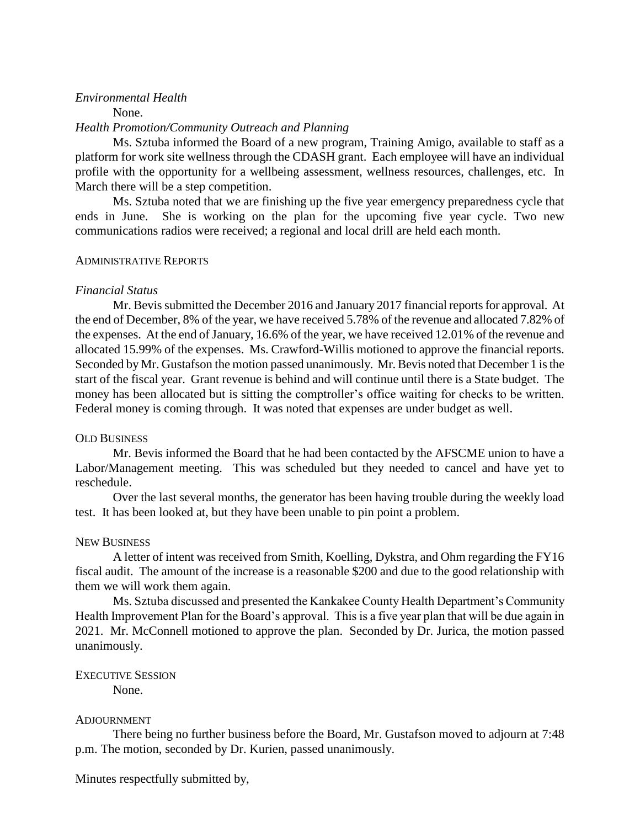## *Environmental Health*

None.

#### *Health Promotion/Community Outreach and Planning*

Ms. Sztuba informed the Board of a new program, Training Amigo, available to staff as a platform for work site wellness through the CDASH grant. Each employee will have an individual profile with the opportunity for a wellbeing assessment, wellness resources, challenges, etc. In March there will be a step competition.

Ms. Sztuba noted that we are finishing up the five year emergency preparedness cycle that ends in June. She is working on the plan for the upcoming five year cycle. Two new communications radios were received; a regional and local drill are held each month.

### ADMINISTRATIVE REPORTS

### *Financial Status*

Mr. Bevis submitted the December 2016 and January 2017 financial reports for approval. At the end of December, 8% of the year, we have received 5.78% of the revenue and allocated 7.82% of the expenses. At the end of January, 16.6% of the year, we have received 12.01% of the revenue and allocated 15.99% of the expenses. Ms. Crawford-Willis motioned to approve the financial reports. Seconded by Mr. Gustafson the motion passed unanimously. Mr. Bevis noted that December 1 is the start of the fiscal year. Grant revenue is behind and will continue until there is a State budget. The money has been allocated but is sitting the comptroller's office waiting for checks to be written. Federal money is coming through. It was noted that expenses are under budget as well.

#### OLD BUSINESS

Mr. Bevis informed the Board that he had been contacted by the AFSCME union to have a Labor/Management meeting. This was scheduled but they needed to cancel and have yet to reschedule.

Over the last several months, the generator has been having trouble during the weekly load test. It has been looked at, but they have been unable to pin point a problem.

#### NEW BUSINESS

A letter of intent was received from Smith, Koelling, Dykstra, and Ohm regarding the FY16 fiscal audit. The amount of the increase is a reasonable \$200 and due to the good relationship with them we will work them again.

Ms. Sztuba discussed and presented the Kankakee County Health Department's Community Health Improvement Plan for the Board's approval. This is a five year plan that will be due again in 2021. Mr. McConnell motioned to approve the plan. Seconded by Dr. Jurica, the motion passed unanimously.

EXECUTIVE SESSION None.

### ADJOURNMENT

There being no further business before the Board, Mr. Gustafson moved to adjourn at 7:48 p.m. The motion, seconded by Dr. Kurien, passed unanimously.

Minutes respectfully submitted by,